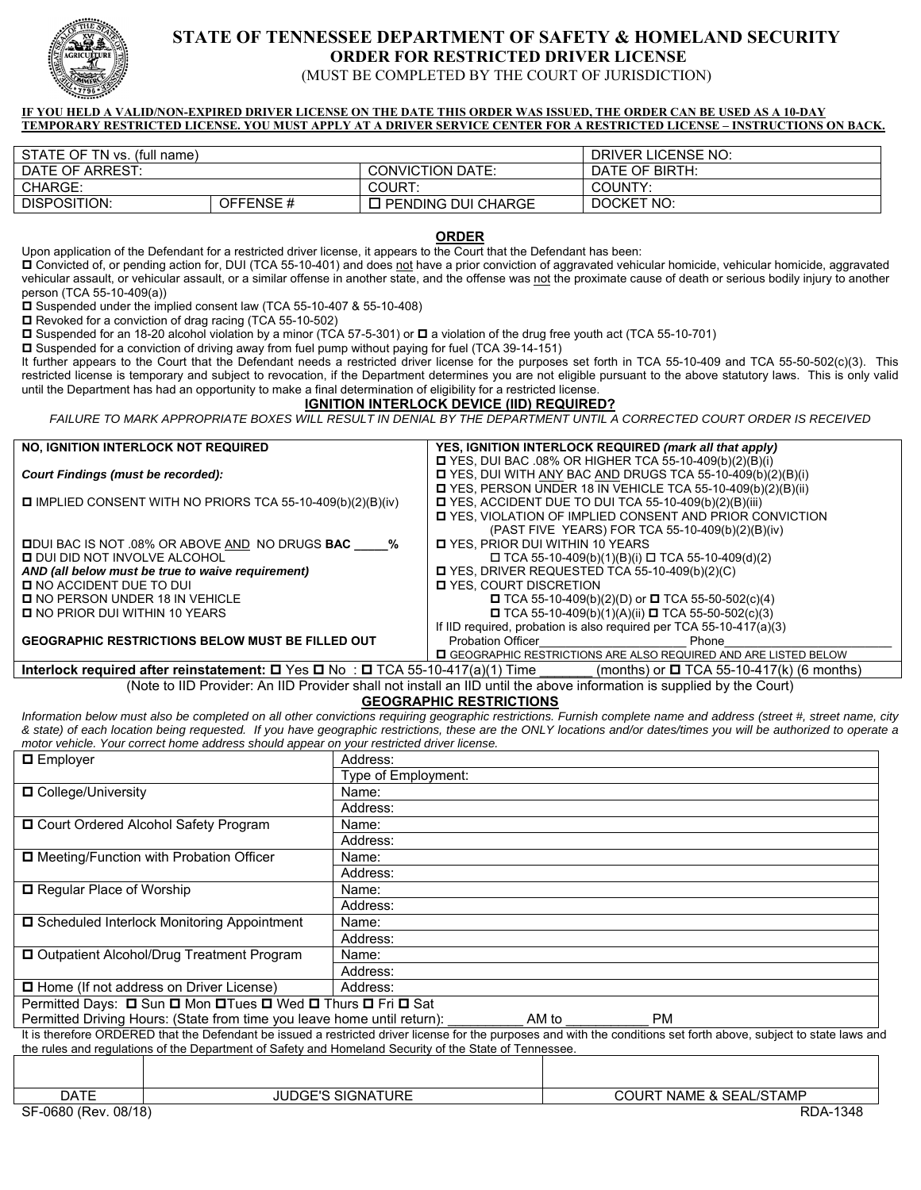

# **STATE OF TENNESSEE DEPARTMENT OF SAFETY & HOMELAND SECURITY ORDER FOR RESTRICTED DRIVER LICENSE**

(MUST BE COMPLETED BY THE COURT OF JURISDICTION)

#### **IF YOU HELD A VALID/NON-EXPIRED DRIVER LICENSE ON THE DATE THIS ORDER WAS ISSUED, THE ORDER CAN BE USED AS A 10-DAY TEMPORARY RESTRICTED LICENSE. YOU MUST APPLY AT A DRIVER SERVICE CENTER FOR A RESTRICTED LICENSE – INSTRUCTIONS ON BACK.**

| STATE OF TN vs. (full name) |          |                         | DRIVER LICENSE NO: |  |
|-----------------------------|----------|-------------------------|--------------------|--|
| DATE OF ARREST:             |          | <b>CONVICTION DATE:</b> | DATE OF BIRTH:     |  |
| CHARGE:                     |          | COURT:                  | COUNTY:            |  |
| DISPOSITION:                | OFFENSE# | I PENDING DUI CHARGE    | DOCKET NO:         |  |

**ORDER** 

Upon application of the Defendant for a restricted driver license, it appears to the Court that the Defendant has been:

D Convicted of, or pending action for, DUI (TCA 55-10-401) and does not have a prior conviction of aggravated vehicular homicide, vehicular homicide, aggravated vehicular assault, or vehicular assault, or a similar offense in another state, and the offense was not the proximate cause of death or serious bodily injury to another person (TCA 55-10-409(a))

■ Suspended under the implied consent law (TCA 55-10-407 & 55-10-408)

□ Revoked for a conviction of drag racing (TCA 55-10-502)

 $\Box$  Suspended for an 18-20 alcohol violation by a minor (TCA 57-5-301) or  $\Box$  a violation of the drug free youth act (TCA 55-10-701)

Suspended for a conviction of driving away from fuel pump without paying for fuel (TCA 39-14-151)

It further appears to the Court that the Defendant needs a restricted driver license for the purposes set forth in TCA 55-10-409 and TCA 55-50-502(c)(3). This restricted license is temporary and subject to revocation, if the Department determines you are not eligible pursuant to the above statutory laws. This is only valid until the Department has had an opportunity to make a final determination of eligibility for a restricted license.

## **IGNITION INTERLOCK DEVICE (IID) REQUIRED?**

FAILURE TO MARK APPROPRIATE BOXES WILL RESULT IN DENIAL BY THE DEPARTMENT UNTIL A CORRECTED COURT ORDER IS RECEIVED

| <b>NO, IGNITION INTERLOCK NOT REQUIRED</b>                                                    | YES, IGNITION INTERLOCK REQUIRED (mark all that apply)                  |  |  |
|-----------------------------------------------------------------------------------------------|-------------------------------------------------------------------------|--|--|
|                                                                                               | $\Box$ YES, DUI BAC .08% OR HIGHER TCA 55-10-409(b)(2)(B)(i)            |  |  |
| Court Findings (must be recorded):                                                            | $\Box$ YES, DUI WITH ANY BAC AND DRUGS TCA 55-10-409(b)(2)(B)(i)        |  |  |
|                                                                                               | $\Box$ YES, PERSON UNDER 18 IN VEHICLE TCA 55-10-409(b)(2)(B)(ii)       |  |  |
| IMPLIED CONSENT WITH NO PRIORS TCA 55-10-409(b)(2)(B)(iv)                                     | <b>D</b> YES, ACCIDENT DUE TO DUI TCA 55-10-409(b)(2)(B)(iii)           |  |  |
|                                                                                               | I YES, VIOLATION OF IMPLIED CONSENT AND PRIOR CONVICTION                |  |  |
|                                                                                               | (PAST FIVE YEARS) FOR TCA 55-10-409(b)(2)(B)(iv)                        |  |  |
| <b>ODUI BAC IS NOT .08% OR ABOVE AND NO DRUGS BAC %</b>                                       | <b>D</b> YES, PRIOR DUI WITHIN 10 YEARS                                 |  |  |
| <b>D</b> DUI DID NOT INVOLVE ALCOHOL                                                          | $\Box$ TCA 55-10-409(b)(1)(B)(i) $\Box$ TCA 55-10-409(d)(2)             |  |  |
| AND (all below must be true to waive requirement)                                             | $\Box$ YES, DRIVER REQUESTED TCA 55-10-409(b)(2)(C)                     |  |  |
| <b>D</b> NO ACCIDENT DUE TO DUI                                                               | <b>D</b> YES, COURT DISCRETION                                          |  |  |
| <b>D</b> NO PERSON UNDER 18 IN VEHICLE                                                        | □ TCA 55-10-409(b)(2)(D) or □ TCA 55-50-502(c)(4)                       |  |  |
| <b>D</b> NO PRIOR DUI WITHIN 10 YEARS                                                         | $\Box$ TCA 55-10-409(b)(1)(A)(ii) $\Box$ TCA 55-50-502(c)(3)            |  |  |
|                                                                                               | If IID required, probation is also required per TCA 55-10-417(a)(3)     |  |  |
| <b>GEOGRAPHIC RESTRICTIONS BELOW MUST BE FILLED OUT</b>                                       | Probation Officer <b>Example 20</b><br>Phone                            |  |  |
|                                                                                               | <b>O</b> GEOGRAPHIC RESTRICTIONS ARE ALSO REQUIRED AND ARE LISTED BELOW |  |  |
| Interlook required ofter reinstatement: $\Box$ Yes $\Box$ Ne. $\Box$ TCA E5 10 117(e)(1) Time | $(montho)$ or $\blacksquare$ TCA EE 10 117(b) (6 montho)                |  |  |

**Interlock required after reinstatement: □** Yes □ No : □ ICA 55-10-417(a)(1) Time \_\_\_\_\_\_\_ (months) or □ ICA 55-10-417(k) (6 months) (Note to IID Provider: An IID Provider shall not install an IID until the above information is supplied by the Court)

**GEOGRAPHIC RESTRICTIONS** 

*Information below must also be completed on all other convictions requiring geographic restrictions. Furnish complete name and address (street #, street name, city & state) of each location being requested. If you have geographic restrictions, these are the ONLY locations and/or dates/times you will be authorized to operate a motor vehicle. Your correct home address should appear on your restricted driver license.* 

| $\Box$ Employer                                              |                                                                         | Address:                                                                                               |                                    |                                                                                                                                                                      |  |  |
|--------------------------------------------------------------|-------------------------------------------------------------------------|--------------------------------------------------------------------------------------------------------|------------------------------------|----------------------------------------------------------------------------------------------------------------------------------------------------------------------|--|--|
|                                                              |                                                                         | Type of Employment:                                                                                    |                                    |                                                                                                                                                                      |  |  |
| □ College/University                                         |                                                                         | Name:                                                                                                  |                                    |                                                                                                                                                                      |  |  |
|                                                              |                                                                         | Address:                                                                                               |                                    |                                                                                                                                                                      |  |  |
| □ Court Ordered Alcohol Safety Program                       |                                                                         | Name:                                                                                                  |                                    |                                                                                                                                                                      |  |  |
|                                                              |                                                                         | Address:                                                                                               |                                    |                                                                                                                                                                      |  |  |
| □ Meeting/Function with Probation Officer                    |                                                                         | Name:                                                                                                  |                                    |                                                                                                                                                                      |  |  |
|                                                              |                                                                         | Address:                                                                                               |                                    |                                                                                                                                                                      |  |  |
| <b>□</b> Regular Place of Worship                            |                                                                         | Name:                                                                                                  |                                    |                                                                                                                                                                      |  |  |
|                                                              |                                                                         | Address:                                                                                               |                                    |                                                                                                                                                                      |  |  |
| □ Scheduled Interlock Monitoring Appointment                 |                                                                         | Name:                                                                                                  |                                    |                                                                                                                                                                      |  |  |
|                                                              |                                                                         | Address:                                                                                               |                                    |                                                                                                                                                                      |  |  |
| □ Outpatient Alcohol/Drug Treatment Program                  |                                                                         | Name:                                                                                                  |                                    |                                                                                                                                                                      |  |  |
|                                                              |                                                                         | Address:                                                                                               |                                    |                                                                                                                                                                      |  |  |
| □ Home (If not address on Driver License)                    |                                                                         | Address:                                                                                               |                                    |                                                                                                                                                                      |  |  |
| Permitted Days: □ Sun □ Mon □ Tues □ Wed □ Thurs □ Fri □ Sat |                                                                         |                                                                                                        |                                    |                                                                                                                                                                      |  |  |
|                                                              | Permitted Driving Hours: (State from time you leave home until return): |                                                                                                        | AM to                              | <b>PM</b>                                                                                                                                                            |  |  |
|                                                              |                                                                         |                                                                                                        |                                    | It is therefore ORDERED that the Defendant be issued a restricted driver license for the purposes and with the conditions set forth above, subject to state laws and |  |  |
|                                                              |                                                                         | the rules and regulations of the Department of Safety and Homeland Security of the State of Tennessee. |                                    |                                                                                                                                                                      |  |  |
|                                                              |                                                                         |                                                                                                        |                                    |                                                                                                                                                                      |  |  |
|                                                              |                                                                         |                                                                                                        |                                    |                                                                                                                                                                      |  |  |
| <b>DATE</b>                                                  | <b>JUDGE'S SIGNATURE</b>                                                |                                                                                                        | <b>COURT NAME &amp; SEAL/STAMP</b> |                                                                                                                                                                      |  |  |